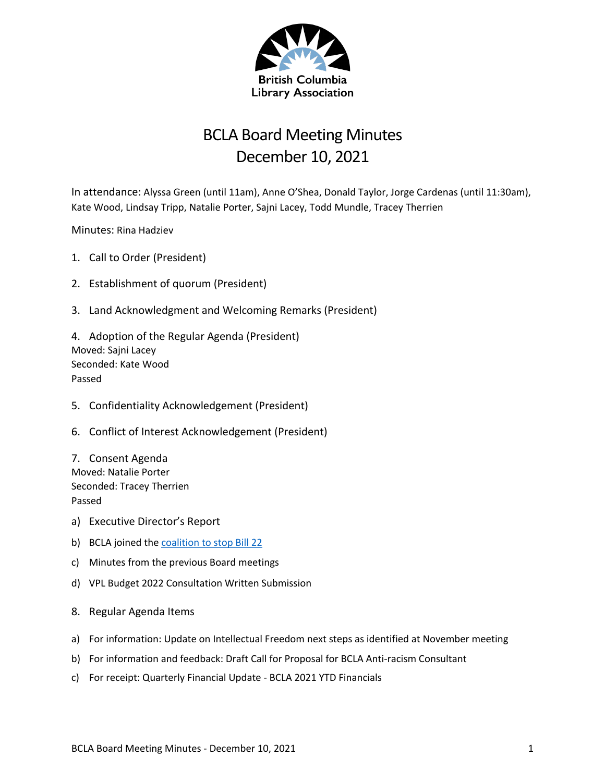

## BCLA Board Meeting Minutes December 10, 2021

In attendance: Alyssa Green (until 11am), Anne O'Shea, Donald Taylor, Jorge Cardenas (until 11:30am), Kate Wood, Lindsay Tripp, Natalie Porter, Sajni Lacey, Todd Mundle, Tracey Therrien

Minutes: Rina Hadziev

- 1. Call to Order (President)
- 2. Establishment of quorum (President)
- 3. Land Acknowledgment and Welcoming Remarks (President)

4. Adoption of the Regular Agenda (President) Moved: Sajni Lacey Seconded: Kate Wood Passed

- 5. Confidentiality Acknowledgement (President)
- 6. Conflict of Interest Acknowledgement (President)
- 7. Consent Agenda Moved: Natalie Porter Seconded: Tracey Therrien Passed
- a) Executive Director's Report
- b) BCLA joined the coalition to stop Bill 22
- c) Minutes from the previous Board meetings
- d) VPL Budget 2022 Consultation Written Submission
- 8. Regular Agenda Items
- a) For information: Update on Intellectual Freedom next steps as identified at November meeting
- b) For information and feedback: Draft Call for Proposal for BCLA Anti-racism Consultant
- c) For receipt: Quarterly Financial Update BCLA 2021 YTD Financials